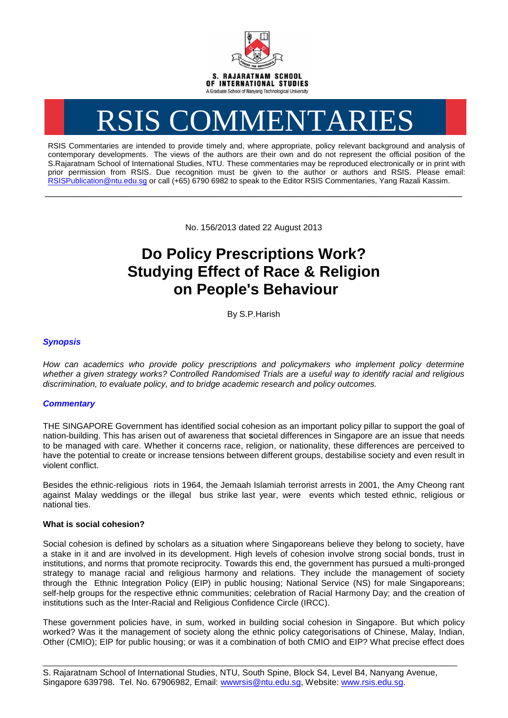

# RSIS COMMENTARIES

RSIS Commentaries are intended to provide timely and, where appropriate, policy relevant background and analysis of contemporary developments. The views of the authors are their own and do not represent the official position of the S.Rajaratnam School of International Studies, NTU. These commentaries may be reproduced electronically or in print with prior permission from RSIS. Due recognition must be given to the author or authors and RSIS. Please email: [RSISPublication@ntu.edu.sg](mailto:RSISPublication@ntu.edu.sg) or call (+65) 6790 6982 to speak to the Editor RSIS Commentaries, Yang Razali Kassim.

No. 156/2013 dated 22 August 2013

**\_\_\_\_\_\_\_\_\_\_\_\_\_\_\_\_\_\_\_\_\_\_\_\_\_\_\_\_\_\_\_\_\_\_\_\_\_\_\_\_\_\_\_\_\_\_\_\_\_\_\_\_\_\_\_\_\_\_\_\_\_\_\_\_\_\_\_\_\_\_\_\_\_\_\_\_\_\_\_\_\_\_\_\_\_\_\_\_\_\_\_\_\_\_\_\_\_\_**

# **Do Policy Prescriptions Work? Studying Effect of Race & Religion on People's Behaviour**

By S.P.Harish

# *Synopsis*

*How can academics who provide policy prescriptions and policymakers who implement policy determine whether a given strategy works? Controlled Randomised Trials are a useful way to identify racial and religious discrimination, to evaluate policy, and to bridge academic research and policy outcomes.*

# *Commentary*

THE SINGAPORE Government has identified social cohesion as an important policy pillar to support the goal of nation-building. This has arisen out of awareness that **s**ocietal differences in Singapore are an issue that needs to be managed with care. Whether it concerns race, religion, or nationality, these differences are perceived to have the potential to create or increase tensions between different groups, destabilise society and even result in violent conflict.

Besides the ethnic-religious riots in 1964, the Jemaah Islamiah terrorist arrests in 2001, the Amy Cheong rant against Malay weddings or the illegal bus strike last year, were events which tested ethnic, religious or national ties.

### **What is social cohesion?**

Social cohesion is defined by scholars as a situation where Singaporeans believe they belong to society, have a stake in it and are involved in its development. High levels of cohesion involve strong social bonds, trust in institutions, and norms that promote reciprocity. Towards this end, the government has pursued a multi-pronged strategy to manage racial and religious harmony and relations. They include the management of society through the Ethnic Integration Policy (EIP) in public housing; National Service (NS) for male Singaporeans; self-help groups for the respective ethnic communities; celebration of Racial Harmony Day; and the creation of institutions such as the Inter-Racial and Religious Confidence Circle (IRCC).

These government policies have, in sum, worked in building social cohesion in Singapore. But which policy worked? Was it the management of society along the ethnic policy categorisations of Chinese, Malay, Indian, Other (CMIO); EIP for public housing; or was it a combination of both CMIO and EIP? What precise effect does

\_\_\_\_\_\_\_\_\_\_\_\_\_\_\_\_\_\_\_\_\_\_\_\_\_\_\_\_\_\_\_\_\_\_\_\_\_\_\_\_\_\_\_\_\_\_\_\_\_\_\_\_\_\_\_\_\_\_\_\_\_\_\_\_\_\_\_\_\_\_\_\_\_\_\_\_\_\_\_\_\_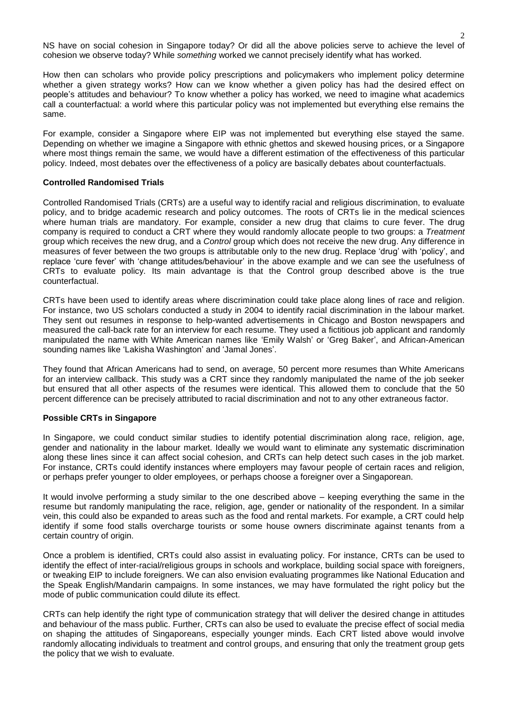NS have on social cohesion in Singapore today? Or did all the above policies serve to achieve the level of cohesion we observe today? While *something* worked we cannot precisely identify what has worked.

How then can scholars who provide policy prescriptions and policymakers who implement policy determine whether a given strategy works? How can we know whether a given policy has had the desired effect on people's attitudes and behaviour? To know whether a policy has worked, we need to imagine what academics call a counterfactual: a world where this particular policy was not implemented but everything else remains the same.

For example, consider a Singapore where EIP was not implemented but everything else stayed the same. Depending on whether we imagine a Singapore with ethnic ghettos and skewed housing prices, or a Singapore where most things remain the same, we would have a different estimation of the effectiveness of this particular policy. Indeed, most debates over the effectiveness of a policy are basically debates about counterfactuals.

### **Controlled Randomised Trials**

Controlled Randomised Trials (CRTs) are a useful way to identify racial and religious discrimination, to evaluate policy, and to bridge academic research and policy outcomes. The roots of CRTs lie in the medical sciences where human trials are mandatory. For example, consider a new drug that claims to cure fever. The drug company is required to conduct a CRT where they would randomly allocate people to two groups: a *Treatment* group which receives the new drug, and a *Control* group which does not receive the new drug. Any difference in measures of fever between the two groups is attributable only to the new drug. Replace 'drug' with 'policy', and replace 'cure fever' with 'change attitudes/behaviour' in the above example and we can see the usefulness of CRTs to evaluate policy. Its main advantage is that the Control group described above is the true counterfactual.

CRTs have been used to identify areas where discrimination could take place along lines of race and religion. For instance, two US scholars conducted a study in 2004 to identify racial discrimination in the labour market. They sent out resumes in response to help-wanted advertisements in Chicago and Boston newspapers and measured the call-back rate for an interview for each resume. They used a fictitious job applicant and randomly manipulated the name with White American names like 'Emily Walsh' or 'Greg Baker', and African-American sounding names like 'Lakisha Washington' and 'Jamal Jones'.

They found that African Americans had to send, on average, 50 percent more resumes than White Americans for an interview callback. This study was a CRT since they randomly manipulated the name of the job seeker but ensured that all other aspects of the resumes were identical. This allowed them to conclude that the 50 percent difference can be precisely attributed to racial discrimination and not to any other extraneous factor.

### **Possible CRTs in Singapore**

In Singapore, we could conduct similar studies to identify potential discrimination along race, religion, age, gender and nationality in the labour market. Ideally we would want to eliminate any systematic discrimination along these lines since it can affect social cohesion, and CRTs can help detect such cases in the job market. For instance, CRTs could identify instances where employers may favour people of certain races and religion, or perhaps prefer younger to older employees, or perhaps choose a foreigner over a Singaporean.

It would involve performing a study similar to the one described above – keeping everything the same in the resume but randomly manipulating the race, religion, age, gender or nationality of the respondent. In a similar vein, this could also be expanded to areas such as the food and rental markets. For example, a CRT could help identify if some food stalls overcharge tourists or some house owners discriminate against tenants from a certain country of origin.

Once a problem is identified, CRTs could also assist in evaluating policy. For instance, CRTs can be used to identify the effect of inter-racial/religious groups in schools and workplace, building social space with foreigners, or tweaking EIP to include foreigners. We can also envision evaluating programmes like National Education and the Speak English/Mandarin campaigns. In some instances, we may have formulated the right policy but the mode of public communication could dilute its effect.

CRTs can help identify the right type of communication strategy that will deliver the desired change in attitudes and behaviour of the mass public. Further, CRTs can also be used to evaluate the precise effect of social media on shaping the attitudes of Singaporeans, especially younger minds. Each CRT listed above would involve randomly allocating individuals to treatment and control groups, and ensuring that only the treatment group gets the policy that we wish to evaluate.